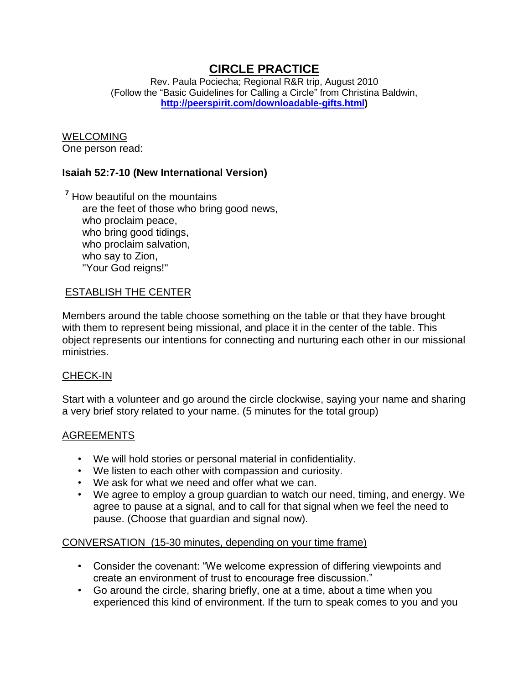## **CIRCLE PRACTICE**

Rev. Paula Pociecha; Regional R&R trip, August 2010 (Follow the "Basic Guidelines for Calling a Circle" from Christina Baldwin, **[http://peerspirit.com/downloadable-gifts.html\)](http://peerspirit.com/downloadable-gifts.html)**

# WELCOMING

One person read:

## **Isaiah 52:7-10 (New International Version)**

**<sup>7</sup>** How beautiful on the mountains are the feet of those who bring good news, who proclaim peace, who bring good tidings, who proclaim salvation, who say to Zion, "Your God reigns!"

### ESTABLISH THE CENTER

Members around the table choose something on the table or that they have brought with them to represent being missional, and place it in the center of the table. This object represents our intentions for connecting and nurturing each other in our missional ministries.

#### CHECK-IN

Start with a volunteer and go around the circle clockwise, saying your name and sharing a very brief story related to your name. (5 minutes for the total group)

## AGREEMENTS

- We will hold stories or personal material in confidentiality.
- We listen to each other with compassion and curiosity.
- We ask for what we need and offer what we can.
- We agree to employ a group guardian to watch our need, timing, and energy. We agree to pause at a signal, and to call for that signal when we feel the need to pause. (Choose that guardian and signal now).

#### CONVERSATION (15-30 minutes, depending on your time frame)

- Consider the covenant: "We welcome expression of differing viewpoints and create an environment of trust to encourage free discussion."
- Go around the circle, sharing briefly, one at a time, about a time when you experienced this kind of environment. If the turn to speak comes to you and you